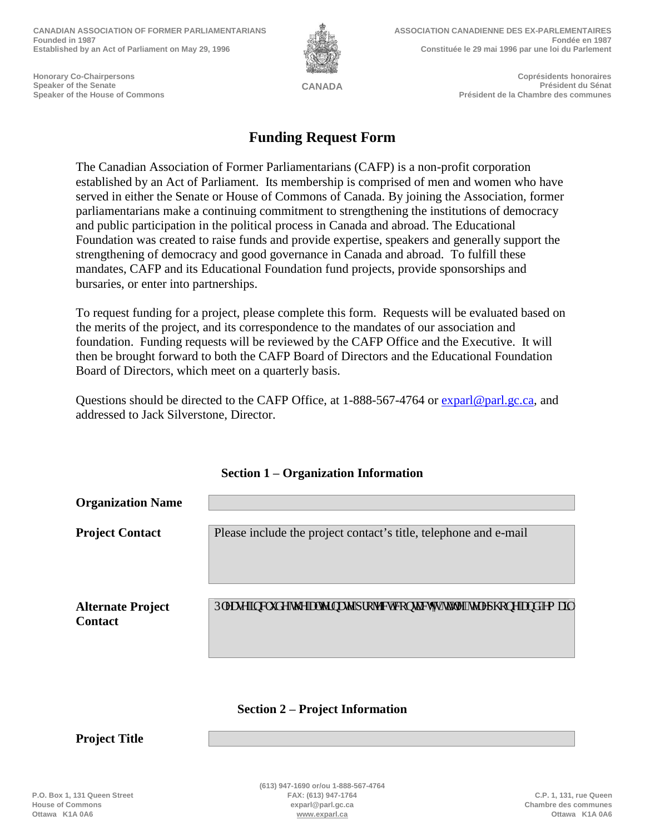**CANADIAN ASSOCIATION OF FORMER PARLIAMENTARIANS Founded in 1987 Established by an Act of Parliament on May 29, 1996**



**ASSOCIATION CANADIENNE DES EX-PARLEMENTAIRES Fondée en 1987 Constituée le 29 mai 1996 par une loi du Parlement**

**Honorary Co-Chairpersons Speaker of the Senate Speaker of the House of Commons**

**CANADA**

**Coprésidents honoraires Président du Sénat Président de la Chambre des communes**

## **Funding Request Form**

The Canadian Association of Former Parliamentarians (CAFP) is a non-profit corporation established by an Act of Parliament. Its membership is comprised of men and women who have served in either the Senate or House of Commons of Canada. By joining the Association, former parliamentarians make a continuing commitment to strengthening the institutions of democracy and public participation in the political process in Canada and abroad. The Educational Foundation was created to raise funds and provide expertise, speakers and generally support the strengthening of democracy and good governance in Canada and abroad. To fulfill these mandates, CAFP and its Educational Foundation fund projects, provide sponsorships and bursaries, or enter into partnerships.

To request funding for a project, please complete this form. Requests will be evaluated based on the merits of the project, and its correspondence to the mandates of our association and foundation. Funding requests will be reviewed by the CAFP Office and the Executive. It will then be brought forward to both the CAFP Board of Directors and the Educational Foundation Board of Directors, which meet on a quarterly basis.

Questions should be directed to the CAFP Office, at 1-888-567-4764 or [exparl@parl.gc.ca,](mailto:exparl@parl.gc.ca) and addressed to Jack Silverstone, Director.

| <b>Organization Name</b> |                                                                                      |
|--------------------------|--------------------------------------------------------------------------------------|
|                          |                                                                                      |
| <b>Project Contact</b>   | Please include the project contact's title, telephone and e-mail                     |
|                          |                                                                                      |
|                          |                                                                                      |
|                          |                                                                                      |
| <b>Alternate Project</b> |                                                                                      |
| <b>Contact</b>           | Rngcug''kpenwf g''y g''cngtpcyg''r tqlgev'eqpyceyau''kang. "vgngr j qpg''cpf "go ckn |
|                          |                                                                                      |
|                          |                                                                                      |

## **Section 1 – Organization Information**

## **Section 2 – Project Information**

**Project Title**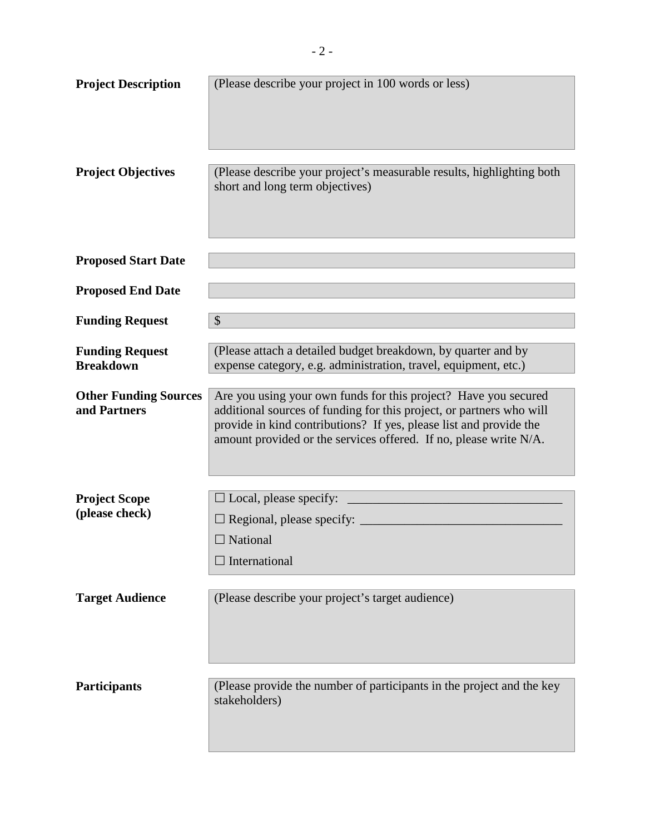| <b>Project Description</b>                   | (Please describe your project in 100 words or less)                                                                                                                                                                                                                                |
|----------------------------------------------|------------------------------------------------------------------------------------------------------------------------------------------------------------------------------------------------------------------------------------------------------------------------------------|
|                                              |                                                                                                                                                                                                                                                                                    |
| <b>Project Objectives</b>                    | (Please describe your project's measurable results, highlighting both<br>short and long term objectives)                                                                                                                                                                           |
| <b>Proposed Start Date</b>                   |                                                                                                                                                                                                                                                                                    |
| <b>Proposed End Date</b>                     |                                                                                                                                                                                                                                                                                    |
| <b>Funding Request</b>                       | $\boldsymbol{\mathsf{S}}$                                                                                                                                                                                                                                                          |
| <b>Funding Request</b><br><b>Breakdown</b>   | (Please attach a detailed budget breakdown, by quarter and by<br>expense category, e.g. administration, travel, equipment, etc.)                                                                                                                                                   |
| <b>Other Funding Sources</b><br>and Partners | Are you using your own funds for this project? Have you secured<br>additional sources of funding for this project, or partners who will<br>provide in kind contributions? If yes, please list and provide the<br>amount provided or the services offered. If no, please write N/A. |
| <b>Project Scope</b>                         | $\Box$ Local, please specify:                                                                                                                                                                                                                                                      |
| (please check)                               | $\Box$ Regional, please specify:                                                                                                                                                                                                                                                   |
|                                              | $\Box$ National                                                                                                                                                                                                                                                                    |
|                                              | $\Box$ International                                                                                                                                                                                                                                                               |
| <b>Target Audience</b>                       | (Please describe your project's target audience)                                                                                                                                                                                                                                   |
| <b>Participants</b>                          | (Please provide the number of participants in the project and the key<br>stakeholders)                                                                                                                                                                                             |